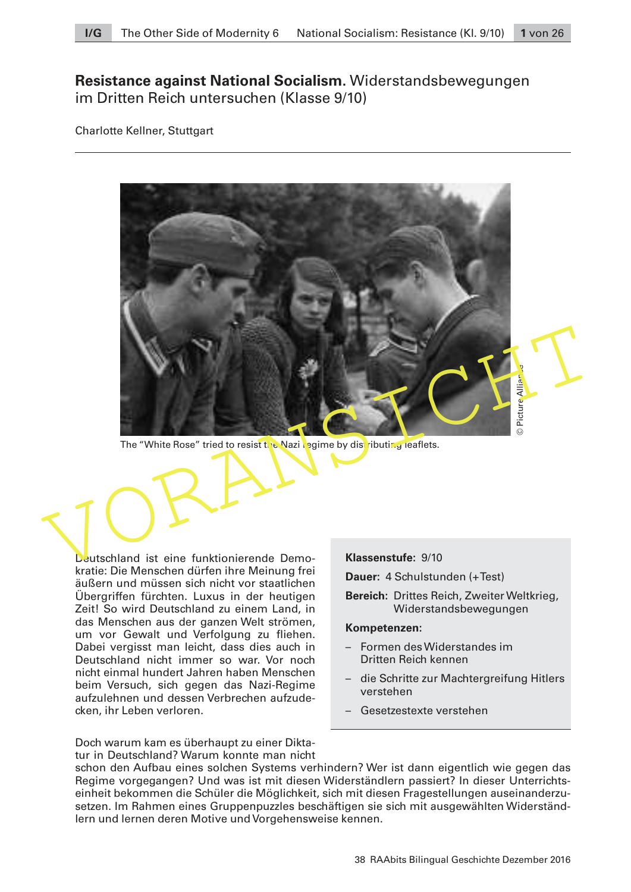# **Resistance against National Socialism.** Widerstandsbewegungen im Dritten Reich untersuchen (Klasse 9/10)

Charlotte Kellner, Stuttgart



The "White Rose" tried to resist the Nazi regime by distributing leaflets.

Deutschland ist eine funktionierende Demokratie: Die Menschen dürfen ihre Meinung frei äußern und müssen sich nicht vor staatlichen Übergriffen fürchten. Luxus in der heutigen Zeit! So wird Deutschland zu einem Land, in das Menschen aus der ganzen Welt strömen, um vor Gewalt und Verfolgung zu fliehen. Dabei vergisst man leicht, dass dies auch in Deutschland nicht immer so war. Vor noch nicht einmal hundert Jahren haben Menschen beim Versuch, sich gegen das Nazi-Regime aufzulehnen und dessen Verbrechen aufzudecken, ihr Leben verloren.

**Klassenstufe:** 9/10

**Dauer:** 4 Schulstunden (+ Test)

**Bereich:** Drittes Reich, Zweiter Weltkrieg, Widerstandsbewegungen

#### **Kompetenzen:**

- Formen des Widerstandes im Dritten Reich kennen
- die Schritte zur Machtergreifung Hitlers verstehen
- Gesetzestexte verstehen

Doch warum kam es überhaupt zu einer Diktatur in Deutschland? Warum konnte man nicht

schon den Aufbau eines solchen Systems verhindern? Wer ist dann eigentlich wie gegen das Regime vorgegangen? Und was ist mit diesen Widerständlern passiert? In dieser Unterrichtseinheit bekommen die Schüler die Möglichkeit, sich mit diesen Fragestellungen auseinanderzusetzen. Im Rahmen eines Gruppenpuzzles beschäftigen sie sich mit ausgewählten Widerständlern und lernen deren Motive und Vorgehensweise kennen.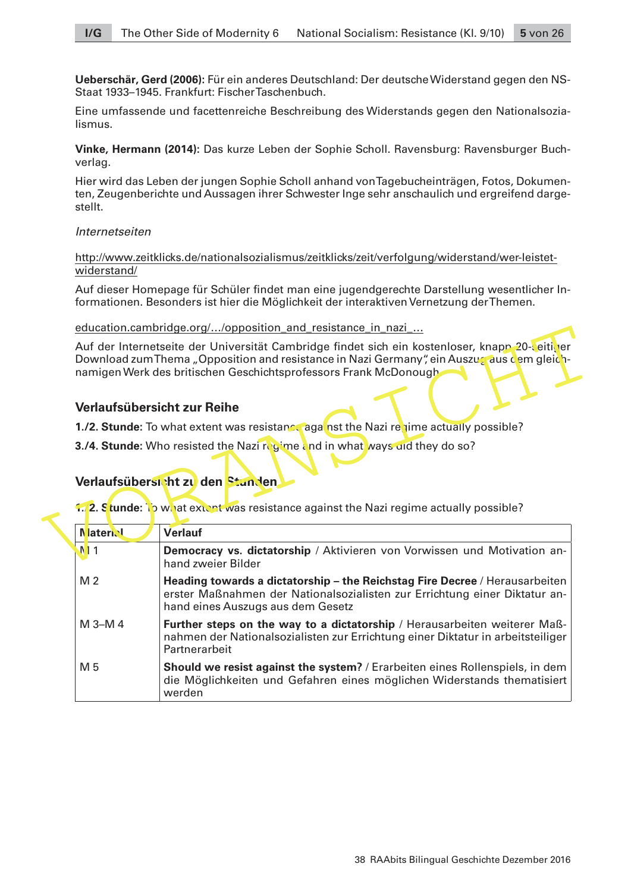**Ueberschär, Gerd (2006):** Für ein anderes Deutschland: Der deutsche Widerstand gegen den NS-Staat 1933–1945. Frankfurt: Fischer Taschenbuch.

Eine umfassende und facettenreiche Beschreibung des Widerstands gegen den Nationalsozialismus.

**Vinke, Hermann (2014):** Das kurze Leben der Sophie Scholl. Ravensburg: Ravensburger Buchverlag.

Hier wird das Leben der jungen Sophie Scholl anhand von Tagebucheinträgen, Fotos, Dokumenten, Zeugenberichte und Aussagen ihrer Schwester Inge sehr anschaulich und ergreifend dargestellt.

#### Internetseiten

http://www.zeitklicks.de/nationalsozialismus/zeitklicks/zeit/verfolgung/widerstand/wer-leistetwiderstand/

Auf dieser Homepage für Schüler findet man eine jugendgerechte Darstellung wesentlicher Informationen. Besonders ist hier die Möglichkeit der interaktiven Vernetzung der Themen.

education.cambridge.org/…/opposition\_and\_resistance\_in\_nazi\_…

## **Verlaufsübersicht zur Reihe**

# **Verlaufsübersicht zu den Stunden**

|                 | Auf der Internetseite der Universität Cambridge findet sich ein kostenloser, knapp 20-veitiver<br>Download zum Thema "Opposition and resistance in Nazi Germany", ein Auszug aus dem gleich-<br>namigen Werk des britischen Geschichtsprofessors Frank McDonough |
|-----------------|------------------------------------------------------------------------------------------------------------------------------------------------------------------------------------------------------------------------------------------------------------------|
|                 | Verlaufsübersicht zur Reihe                                                                                                                                                                                                                                      |
|                 | 1./2. Stunde: To what extent was resistance against the Nazi regime actually possible?                                                                                                                                                                           |
|                 | 3./4. Stunde: Who resisted the Nazi regime and in what ways and they do so?<br>Verlaufsübersicht zu den Stunden                                                                                                                                                  |
| <b>Naterial</b> | <b>1.2. Stunde:</b> To what extert was resistance against the Nazi regime actually possible?<br><b>Verlauf</b>                                                                                                                                                   |
| N11             |                                                                                                                                                                                                                                                                  |
|                 | Democracy vs. dictatorship / Aktivieren von Vorwissen und Motivation an-<br>hand zweier Bilder                                                                                                                                                                   |
| M <sub>2</sub>  | Heading towards a dictatorship – the Reichstag Fire Decree / Herausarbeiten<br>erster Maßnahmen der Nationalsozialisten zur Errichtung einer Diktatur an-<br>hand eines Auszugs aus dem Gesetz                                                                   |
| M 3-M 4         | Further steps on the way to a dictatorship / Herausarbeiten weiterer Maß-<br>nahmen der Nationalsozialisten zur Errichtung einer Diktatur in arbeitsteiliger<br>Partnerarbeit                                                                                    |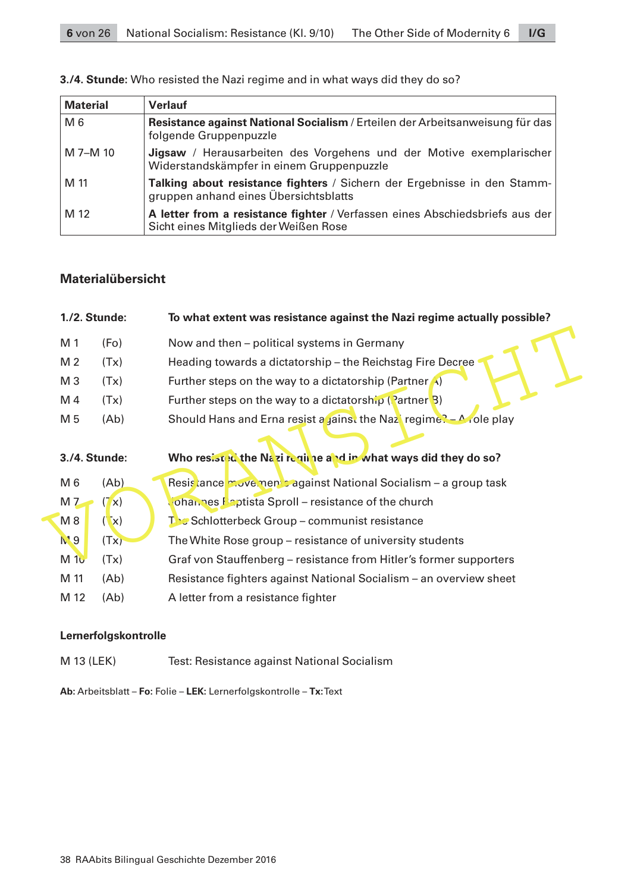| <b>Material</b> | <b>Verlauf</b>                                                                                                        |  |  |  |
|-----------------|-----------------------------------------------------------------------------------------------------------------------|--|--|--|
| M <sub>6</sub>  | Resistance against National Socialism / Erteilen der Arbeitsanweisung für das<br>folgende Gruppenpuzzle               |  |  |  |
| M 7-M 10        | Jigsaw / Herausarbeiten des Vorgehens und der Motive exemplarischer<br>Widerstandskämpfer in einem Gruppenpuzzle      |  |  |  |
| M 11            | Talking about resistance fighters / Sichern der Ergebnisse in den Stamm-<br>gruppen anhand eines Übersichtsblatts     |  |  |  |
| M 12            | A letter from a resistance fighter / Verfassen eines Abschiedsbriefs aus der<br>Sicht eines Mitglieds der Weißen Rose |  |  |  |

## **3./4. Stunde:** Who resisted the Nazi regime and in what ways did they do so?

## **Materialübersicht**

|                | 1./2. Stunde:     | To what extent was resistance against the Nazi regime actually possible? |
|----------------|-------------------|--------------------------------------------------------------------------|
| M 1            | (F <sub>O</sub> ) | Now and then – political systems in Germany                              |
| M 2            | (Tx)              | Heading towards a dictatorship - the Reichstag Fire Decree               |
| M <sub>3</sub> | (Tx)              | Further steps on the way to a dictatorship (Partner $\bigwedge$ )        |
| M 4            | (Tx)              | Further steps on the way to a dictatorship (Partner $\beta$ )            |
| M 5            | (Ab)              | Should Hans and Erna resist a jainst the Naz regime? $-A$ role play      |
|                | 3./4. Stunde:     | Who resisted the Nazi require and in what ways did they do so?           |
| M 6            | (Ab)              | Resistance move nem sagainst National Socialism - a group task           |
| M <sub>7</sub> | $(7 \times)$      | <b>Johannes Baptista Sproll - resistance of the church</b>               |
| M <sub>8</sub> | $(\mathbf{x})$    | <b>The Schlotterbeck Group - communist resistance</b>                    |
| N'9            | (Tx)              | The White Rose group – resistance of university students                 |
| M10            | (Tx)              | Graf von Stauffenberg - resistance from Hitler's former supporters       |
| M 11           | (Ab)              | Resistance fighters against National Socialism – an overview sheet       |
| M 12           | (Ab)              | A letter from a resistance fighter                                       |

## **Lernerfolgskontrolle**

M 13 (LEK) Test: Resistance against National Socialism

**Ab:** Arbeitsblatt – **Fo:** Folie – **LEK:** Lernerfolgskontrolle – **Tx:** Text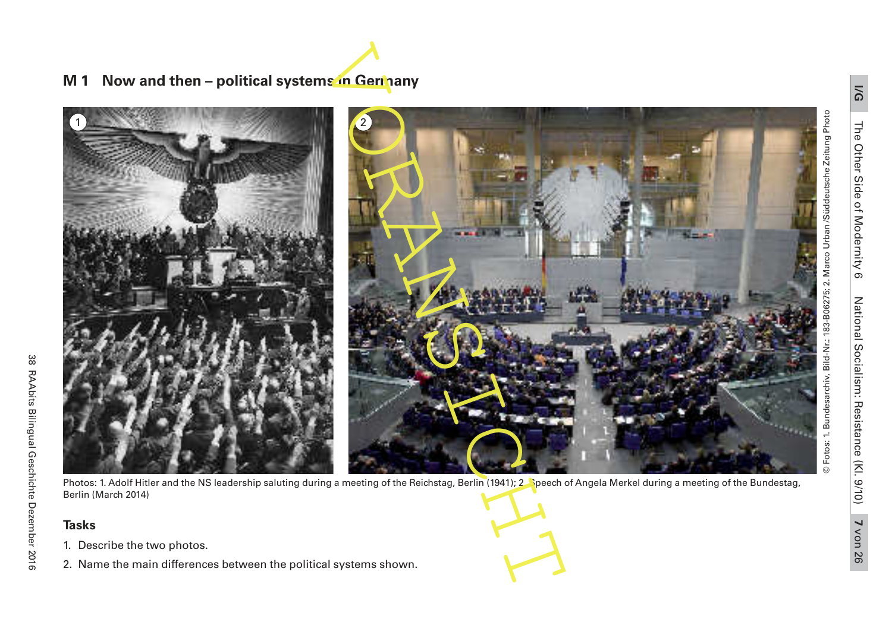# **M 1 Now and then – political systems in Germany**



Photos: 1. Adolf Hitler and the NS leadership saluting during a meeting of the Reichstag, Berlin (1941); 2. Speech of Angela Merkel during a meeting of the Bundestag, Berlin (March 2014)

## **Tasks**

- 1. Describe the two photos.
- 2. Name the main differences between the political systems shown.

© Fotos: 1. Bundesarchiv, Bild-Nr.: 183-B06275; 2. Marco Urban /Süddeutsche Zeitung Photo

Fotos: 1. Bundesarchiv, Bild-Nr.: 183-B06275; 2. Marco Urban /Süddeutsche Zeitung Photo

 $\odot$ 

**I/G**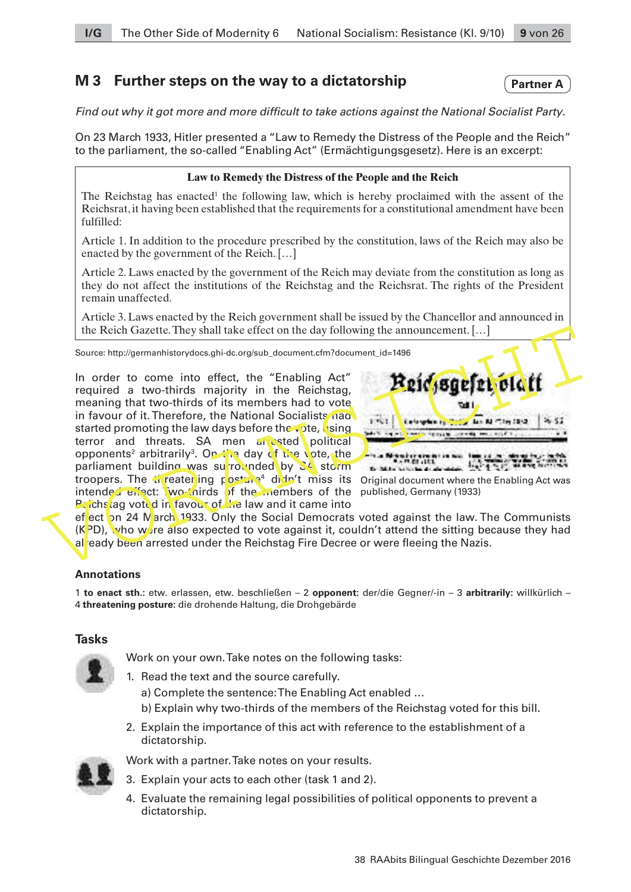# **M 3 Further steps on the way to a dictatorship**

Find out why it got more and more difficult to take actions against the National Socialist Party.

On 23 March 1933, Hitler presented a "Law to Remedy the Distress of the People and the Reich" to the parliament, the so-called "Enabling Act" (Ermächtigungsgesetz). Here is an excerpt:

## **Law to Remedy the Distress of the People and the Reich**

The Reichstag has enacted<sup>1</sup> the following law, which is hereby proclaimed with the assent of the Reichsrat, it having been established that the requirements for a constitutional amendment have been fulfilled:

Article 1. In addition to the procedure prescribed by the constitution, laws of the Reich may also be enacted by the government of the Reich. […]

Article 2. Laws enacted by the government of the Reich may deviate from the constitution as long as they do not affect the institutions of the Reichstag and the Reichsrat. The rights of the President remain unaffected.

Article 3. Laws enacted by the Reich government shall be issued by the Chancellor and announced in the Reich Gazette. They shall take effect on the day following the announcement. […]

Source: http://germanhistorydocs.ghi-dc.org/sub\_document.cfm?document\_id=1496

The Reich Gazette. They shall take effect on the day following the announcement. [...]<br>
Source: http://germanhistorydos.ghi-dc.org/sub\_document.cfm?document\_id=1496<br>
In order to come into effect, the "Enabling Act"<br>
requir In order to come into effect, the "Enabling Act" required a two-thirds majority in the Reichstag, meaning that two-thirds of its members had to vote in favour of it. Therefore, the National Socialists had started promoting the law days before the vote, using terror and threats. SA men arrested political opponents<sup>2</sup> arbitrarily<sup>3</sup>. On the day of the vote, the parliament building was surrounded by SA storm troopers. The threater ing posture<sup>4</sup> didn't miss its intended effect: Two-thirds of the members of the **Reichstag voted in favour of the law and it came into** 



**Partner A**

Original document where the Enabling Act was published, Germany (1933)

effect on 24 March 1933. Only the Social Democrats voted against the law. The Communists  $(K<sup>2</sup>D)$ , who were also expected to vote against it, couldn't attend the sitting because they had al eady been arrested under the Reichstag Fire Decree or were fleeing the Nazis.

## **Annotations**

1 **to enact sth.:** etw. erlassen, etw. beschließen – 2 **opponent:** der/die Gegner/-in – 3 **arbitrarily:** willkürlich – 4 **threatening posture:** die drohende Haltung, die Drohgebärde

## **Tasks**

Work on your own. Take notes on the following tasks:

- 1. Read the text and the source carefully.
	- a) Complete the sentence: The Enabling Act enabled …
	- b) Explain why two-thirds of the members of the Reichstag voted for this bill.
- 2. Explain the importance of this act with reference to the establishment of a dictatorship.



- Work with a partner. Take notes on your results.
- 3. Explain your acts to each other (task 1 and 2).
- 4. Evaluate the remaining legal possibilities of political opponents to prevent a dictatorship.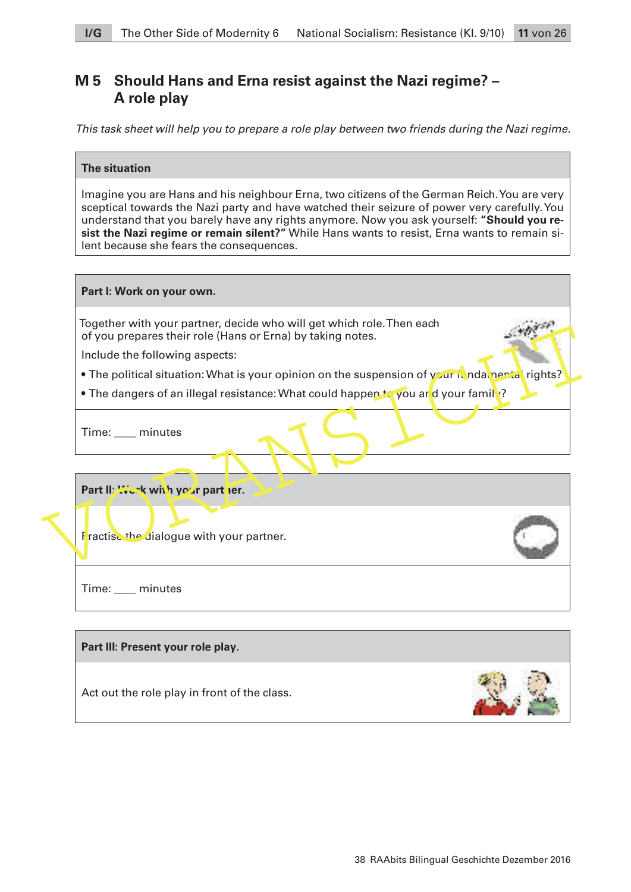# **M 5 Should Hans and Erna resist against the Nazi regime? – A role play**

This task sheet will help you to prepare a role play between two friends during the Nazi regime.

## **The situation**

Imagine you are Hans and his neighbour Erna, two citizens of the German Reich. You are very sceptical towards the Nazi party and have watched their seizure of power very carefully. You understand that you barely have any rights anymore. Now you ask yourself: **"Should you resist the Nazi regime or remain silent?"** While Hans wants to resist, Erna wants to remain silent because she fears the consequences.

| Together with your partner, decide who will get which role. Then each<br>of you prepares their role (Hans or Erna) by taking notes. |  |
|-------------------------------------------------------------------------------------------------------------------------------------|--|
| Include the following aspects:                                                                                                      |  |
| • The political situation: What is your opinion on the suspension of your it ndatnentatrights?                                      |  |
| • The dangers of an illegal resistance: What could happen to you ard your family?                                                   |  |
| Time: ___ minutes                                                                                                                   |  |
| Part II: Work with your part ler.                                                                                                   |  |
|                                                                                                                                     |  |
| Fractise the dialogue with your partner.                                                                                            |  |
| Time: ___ minutes                                                                                                                   |  |
| Part III: Present your role play.                                                                                                   |  |

**The State**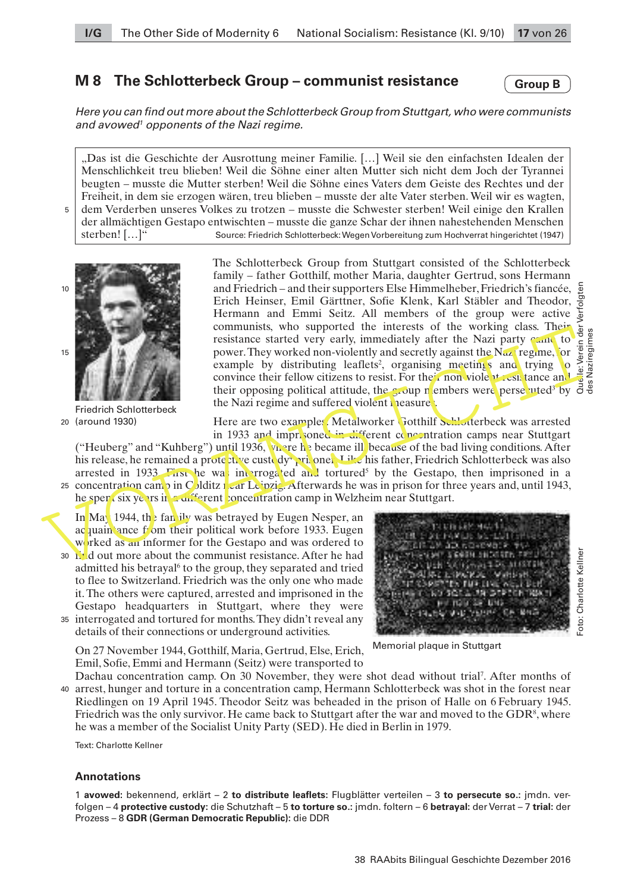# **M 8 The Schlotterbeck Group – communist resistance**

**Group B**

des Naziregimes

Foto: Charlotte Kellner

Here you can find out more about the Schlotterbeck Group from Stuttgart, who were communists and avowed<sup>1</sup> opponents of the Nazi regime.

"Das ist die Geschichte der Ausrottung meiner Familie. […] Weil sie den einfachsten Idealen der Menschlichkeit treu blieben! Weil die Söhne einer alten Mutter sich nicht dem Joch der Tyrannei beugten – musste die Mutter sterben! Weil die Söhne eines Vaters dem Geiste des Rechtes und der Freiheit, in dem sie erzogen wären, treu blieben – musste der alte Vater sterben. Weil wir es wagten, dem Verderben unseres Volkes zu trotzen – musste die Schwester sterben! Weil einige den Krallen der allmächtigen Gestapo entwischten – musste die ganze Schar der ihnen nahestehenden Menschen sterben! […]" Source: Friedrich Schlotterbeck: Wegen Vorbereitung zum Hochverrat hingerichtet (1947)



5

Friedrich Schlotterbeck (around 1930) 20

The Schlotterbeck Group from Stuttgart consisted of the Schlotterbeck family – father Gotthilf, mother Maria, daughter Gertrud, sons Hermann Quelle: Verein der Verfolgten and Friedrich – and their supporters Else Himmelheber, Friedrich's fiancée, Erich Heinser, Emil Gärttner, Sofie Klenk, Karl Stäbler and Theodor,  $\overline{5}$ Hermann and Emmi Seitz. All members of the group were active  $\frac{5}{5}$  communists, who supported the interests of the working class. Their  $\frac{5}{5}$  is contained that were early immediately after the Nazi party  $\frac{1}{5}$  communists, who supported the interests of the working class. Their communists, who supported the interests of the Working case. They were<br>complete the property, immediately after the Nazi party can be prover. They worked non-violently and secretly against the Nazi regime, for  $\frac{5}{2}$  e resistance started very early, immediately after the Nazi party can power. They worked non-violently and secretly against the Nazi regime, for example by distributing leaflets<sup>2</sup>, organising meetings and trying to convince their fellow citizens to resist. For their non-violent resistance and their opposing political attitude, the group n embers were persecuted<sup>3</sup> by the Nazi regime and suffered violent measure.

Here are two examples. Metalworker Gotthilf Schlotterbeck was arrested in 1933 and imprisoned in different concentration camps near Stuttgart

("Heuberg" and "Kuhberg") until 1936,  $v_h$  re here the because of the bad living conditions. After his release, he remained a prote this custody<sup>4</sup> pri<sub>s</sub>oner. Like his father, Friedrich Schlotterbeck was also arrested in 1933. First he was interrogated and tortured<sup>5</sup> by the Gestapo, then imprisoned in a 25 concentration camp in Colditz  $\iota$  ar Leipzig. Afterwards he was in prison for three years and, until 1943,

he spent six years in a different concentration camp in Welzheim near Stuttgart.

In May 1944, the family was betraved by Eugen Nesper, an acquaintance from their political work before 1933. Eugen worked as an informer for the Gestapo and was ordered to 30 L'd out more about the communist resistance. After he had

- admitted his betrayal<sup>6</sup> to the group, they separated and tried to flee to Switzerland. Friedrich was the only one who made it. The others were captured, arrested and imprisoned in the Gestapo headquarters in Stuttgart, where they were interrogated and tortured for months. They didn't reveal any 35
- details of their connections or underground activities.



Memorial plaque in Stuttgart

On 27 November 1944, Gotthilf, Maria, Gertrud, Else, Erich, Emil, Sofie, Emmi and Hermann (Seitz) were transported to

Dachau concentration camp. On 30 November, they were shot dead without trial<sup>7</sup>. After months of arrest, hunger and torture in a concentration camp, Hermann Schlotterbeck was shot in the forest near 40 Riedlingen on 19 April 1945. Theodor Seitz was beheaded in the prison of Halle on 6 February 1945. Friedrich was the only survivor. He came back to Stuttgart after the war and moved to the  $GDR<sup>8</sup>$ , where he was a member of the Socialist Unity Party (SED). He died in Berlin in 1979.

Text: Charlotte Kellner

#### **Annotations**

1 **avowed:** bekennend, erklärt – 2 **to distribute leaflets:** Flugblätter verteilen – 3 **to persecute so.:** jmdn. verfolgen – 4 **protective custody:** die Schutzhaft – 5 **to torture so.:** jmdn. foltern – 6 **betrayal:** der Verrat – 7 **trial:** der Prozess – 8 **GDR (German Democratic Republic):** die DDR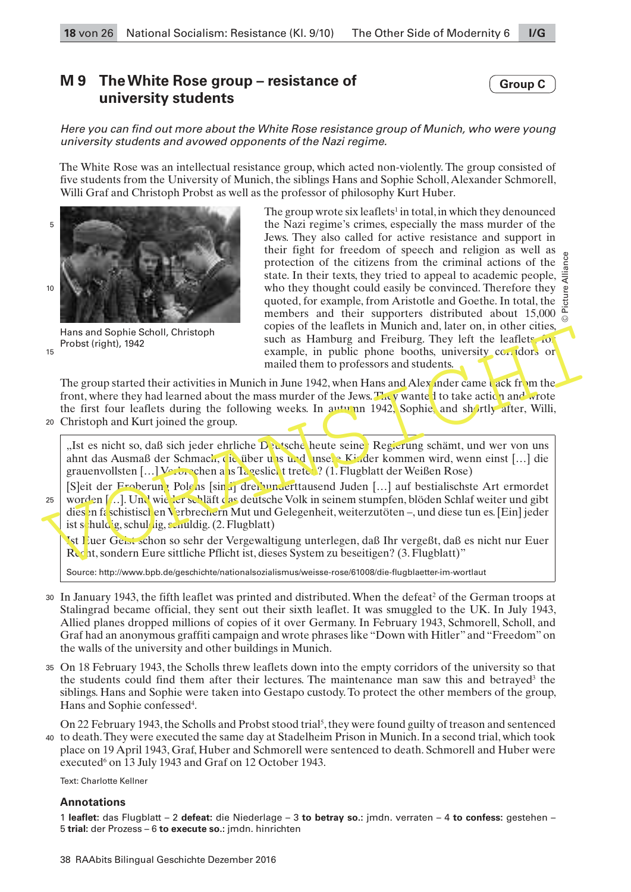# **M 9 The White Rose group – resistance of university students**

Here you can find out more about the White Rose resistance group of Munich, who were young university students and avowed opponents of the Nazi regime.

The White Rose was an intellectual resistance group, which acted non-violently. The group consisted of five students from the University of Munich, the siblings Hans and Sophie Scholl, Alexander Schmorell, Willi Graf and Christoph Probst as well as the professor of philosophy Kurt Huber.



Hans and Sophie Scholl, Christoph Probst (right), 1942

15

The group wrote six leaflets<sup>1</sup> in total, in which they denounced the Nazi regime's crimes, especially the mass murder of the Jews. They also called for active resistance and support in their fight for freedom of speech and religion as well as protection of the citizens from the criminal actions of the state. In their texts, they tried to appeal to academic people, who they thought could easily be convinced. Therefore they quoted, for example, from Aristotle and Goethe. In total, the members and their supporters distributed about 15,000  $\frac{a}{c}$ copies of the leaflets in Munich and, later on, in other cities, such as Hamburg and Freiburg. They left the leaflets, for example, in public phone booths, university corridors or mailed them to professors and students. © Picture Alliance

The group started their activities in Munich in June 1942, when Hans and Alexander came back from the front, where they had learned about the mass murder of the Jews. They wante it to take action and wrote the first four leaflets during the following weeks. In autumn 1942, Sophie, and shortly after, Willi,

Christoph and Kurt joined the group. 20

"Ist es nicht so, daß sich jeder ehrliche Deutsche heute seine Regierung schämt, und wer von uns ahnt das Ausmaß der Schmach, die über uns und unsere Kinder kommen wird, wenn einst […] die grauenvollsten  $[\ldots]$  Verbrechen ans Tageslicht treten? (1. Flugblatt der Weißen Rose)

Hans and Sophie Scholl, Christoph<br>
The cross of the called secure the star windine and Freiburg. They left the leaflets for<br>
The group started their activities in Munich than to professors and students.<br>
The group started [S]eit der Froberung Polens [sind] dreihunderttausend Juden [...] auf bestialischste Art ermordet worden [...]. Und wieder schläft das deutsche Volk in seinem stumpfen, blöden Schlaf weiter und gibt dies en faschistischen Verbrechern Mut und Gelegenheit, weiterzutöten –, und diese tun es. [Ein] jeder ist schuldig, schuldig, schuldig.  $(2.$  Flugblatt) 25

Ist Euer Geist schon so sehr der Vergewaltigung unterlegen, daß Ihr vergeßt, daß es nicht nur Euer Recht, sondern Eure sittliche Pflicht ist, dieses System zu beseitigen? (3. Flugblatt)"

Source: http://www.bpb.de/geschichte/nationalsozialismus/weisse-rose/61008/die-flugblaetter-im-wortlaut

- 30 In January 1943, the fifth leaflet was printed and distributed. When the defeat<sup>2</sup> of the German troops at Stalingrad became official, they sent out their sixth leaflet. It was smuggled to the [UK](https://en.wikipedia.org/wiki/United_Kingdom). In July 1943, Allied planes dropped millions of copies of it over Germany. In February 1943, Schmorell, Scholl, and Graf had an anonymous graffiti campaign and wrote phrases like "Down with Hitler" and "Freedom" on the walls of the university and other buildings in Munich.
- On 18 February 1943, the Scholls threw leaflets down into the empty corridors of the university so that 35 the students could find them after their lectures. The maintenance man saw this and betrayed<sup>3</sup> the siblings. Hans and Sophie were taken into Gestapo custody. To protect the other members of the group, Hans and Sophie confessed<sup>4</sup>.

On 22 February 1943, the Scholls and Probst stood trial<sup>5</sup>, they were found guilty of treason and sentenced to death. They were executed the same day at Stadelheim Prison in Munich. In a second trial, which took place on 19 April 1943, Graf, Huber and Schmorell were sentenced to death. Schmorell and Huber were executed<sup>6</sup> on 13 July 1943 and Graf on 12 October 1943. 40

Text: Charlotte Kellner

#### **Annotations**

1 **leaflet:** das Flugblatt – 2 **defeat:** die Niederlage – 3 **to betray so.:** jmdn. verraten – 4 **to confess:** gestehen – 5 **trial:** der Prozess – 6 **to execute so.:** jmdn. hinrichten

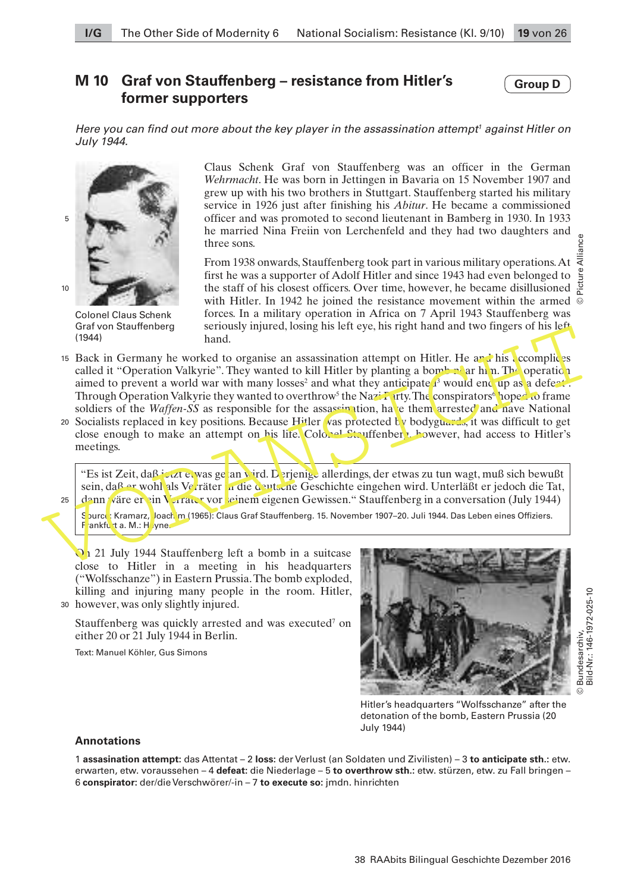## **M 10 Graf von Stauffenberg – resistance from Hitler's former supporters**

#### **Group D**

Here you can find out more about the key player in the assassination attempt<sup>1</sup> against Hitler on July 1944.



Colonel Claus Schenk Graf von Stauffenberg (1944)

Claus Schenk Graf von Stauffenberg was an officer in the German *Wehrmacht*. He was born in Jettingen in Bavaria on 15 November 1907 and grew up with his two brothers in Stuttgart. Stauffenberg started his military service in 1926 just after finishing his *Abitur*. He became a commissioned officer and was promoted to second lieutenant in Bamberg in 1930. In 1933 he married Nina Freiin von Lerchenfeld and they had two daughters and three sons.

From 1938 onwards, Stauffenberg took part in various military operations. At  $\bar{\bar{z}}$ first he was a supporter of Adolf Hitler and since 1943 had even belonged to the staff of his closest officers. Over time, however, he became disillusioned with Hitler. In 1942 he joined the resistance movement within the armed  $\overline{\odot}$ forces. In a military operation in Africa on 7 April 1943 Stauffenberg was seriously injured, losing his left eye, his right hand and two fingers of his left hand. © Picture Alliance

- Gradientery<br>
(1944)<br>
In Germany he worked to organise an assassination attempt on Hitler. He are his complices<br>
called it "Operation Valkyrie". They wanted to kill Hitler by planting a bomb a ar h m. The operation<br>
aimed t 15 Back in Germany he worked to organise an assassination attempt on Hitler. He and his complices called it "Operation Valkyrie". They wanted to kill Hitler by planting a bomb near him. The operation aimed to prevent a world war with many losses<sup>2</sup> and what they anticipate  $\mathbf{I}^3$  would end up as a defect. Through Operation Valkyrie they wanted to overthrow<sup>5</sup> the Nazi Party. The conspirators<sup>6</sup> hoped to frame soldiers of the *Waffen-SS* as responsible for the assassination, have them arrested and nave National
	- 20 Socialists replaced in key positions. Because Hitler was protected by bodyguards, it was difficult to get close enough to make an attempt on his life. Colonel Stauffenberg, however, had access to Hitler's meetings.

"Es ist Zeit, daß jetzt et was ge an wird. Derjenige allerdings, der etwas zu tun wagt, muß sich bewußt sein, daß er wohl als Verräter in die deutsche Geschichte eingehen wird. Unterläßt er jedoch die Tat, dann wäre er ein Verräter vor seinem eigenen Gewissen." Stauffenberg in a conversation (July 1944)

25

Spurce: Kramarz, Joach m (1965): Claus Graf Stauffenberg. 15. November 1907–20. Juli 1944. Das Leben eines Offiziers. Frankfurt a. M.: Hoyne.

On 21 July 1944 Stauffenberg left a bomb in a suitcase close to Hitler in a meeting in his headquarters ("Wolfsschanze") in Eastern Prussia. The bomb exploded, killing and injuring many people in the room. Hitler,

however, was only slightly injured. 30

Stauffenberg was quickly arrested and was executed<sup>7</sup> on either 20 or 21 July 1944 in Berlin.

Text: Manuel Köhler, Gus Simons



Hitler's headquarters "Wolfsschanze" after the detonation of the bomb, Eastern Prussia (20 July 1944)

#### **Annotations**

1 **assasination attempt:** das Attentat – 2 **loss:** der Verlust (an Soldaten und Zivilisten) – 3 **to anticipate sth.:** etw. erwarten, etw. voraussehen – 4 **defeat:** die Niederlage – 5 **to overthrow sth.:** etw. stürzen, etw. zu Fall bringen – 6 **conspirator:** der/die Verschwörer/-in – 7 **to execute so:** jmdn. hinrichten